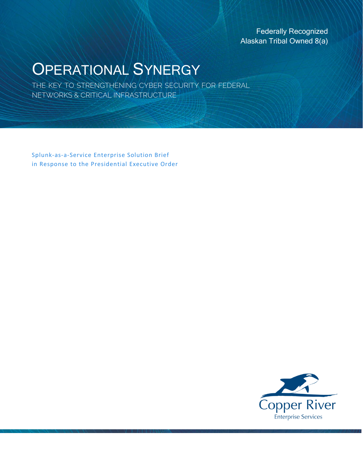Federally Recognized Alaskan Tribal Owned 8(a)

# OPERATIONAL SYNERGY

THE KEY TO STRENGTHENING CYBER SECURITY FOR FEDERAL NETWORKS & CRITICAL INFRASTRUCTURE

Splunk-as-a-Service Enterprise Solution Brief in Response to the Presidential Executive Order

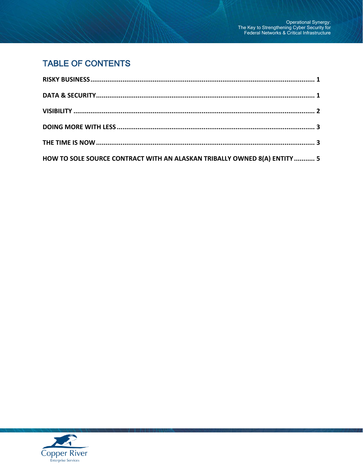# **TABLE OF CONTENTS**

| HOW TO SOLE SOURCE CONTRACT WITH AN ALASKAN TRIBALLY OWNED 8(A) ENTITY  5 |  |
|---------------------------------------------------------------------------|--|

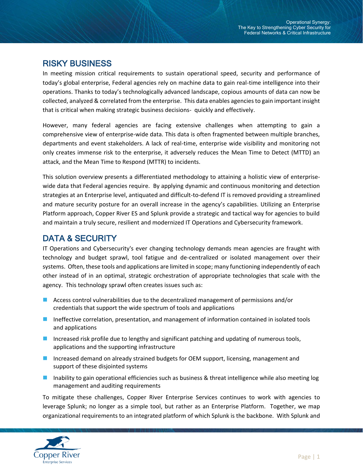### <span id="page-2-0"></span>RISKY BUSINESS

In meeting mission critical requirements to sustain operational speed, security and performance of today's global enterprise, Federal agencies rely on machine data to gain real-time intelligence into their operations. Thanks to today's technologically advanced landscape, copious amounts of data can now be collected, analyzed & correlated from the enterprise. This data enables agencies to gain important insight that is critical when making strategic business decisions- quickly and effectively.

However, many federal agencies are facing extensive challenges when attempting to gain a comprehensive view of enterprise-wide data. This data is often fragmented between multiple branches, departments and event stakeholders. A lack of real-time, enterprise wide visibility and monitoring not only creates immense risk to the enterprise, it adversely reduces the Mean Time to Detect (MTTD) an attack, and the Mean Time to Respond (MTTR) to incidents.

This solution overview presents a differentiated methodology to attaining a holistic view of enterprisewide data that Federal agencies require. By applying dynamic and continuous monitoring and detection strategies at an Enterprise level, antiquated and difficult-to-defend IT is removed providing a streamlined and mature security posture for an overall increase in the agency's capabilities. Utilizing an Enterprise Platform approach, Copper River ES and Splunk provide a strategic and tactical way for agencies to build and maintain a truly secure, resilient and modernized IT Operations and Cybersecurity framework.

## <span id="page-2-1"></span>DATA & SECURITY

IT Operations and Cybersecurity's ever changing technology demands mean agencies are fraught with technology and budget sprawl, tool fatigue and de-centralized or isolated management over their systems. Often, these tools and applications are limited in scope; many functioning independently of each other instead of in an optimal, strategic orchestration of appropriate technologies that scale with the agency. This technology sprawl often creates issues such as:

- Access control vulnerabilities due to the decentralized management of permissions and/or credentials that support the wide spectrum of tools and applications
- **Ineffective correlation, presentation, and management of information contained in isolated tools** and applications
- **Increased risk profile due to lengthy and significant patching and updating of numerous tools,** applications and the supporting infrastructure
- **Increased demand on already strained budgets for OEM support, licensing, management and** support of these disjointed systems
- Inability to gain operational efficiencies such as business & threat intelligence while also meeting log management and auditing requirements

To mitigate these challenges, Copper River Enterprise Services continues to work with agencies to leverage Splunk; no longer as a simple tool, but rather as an Enterprise Platform. Together, we map organizational requirements to an integrated platform of which Splunk is the backbone. With Splunk and

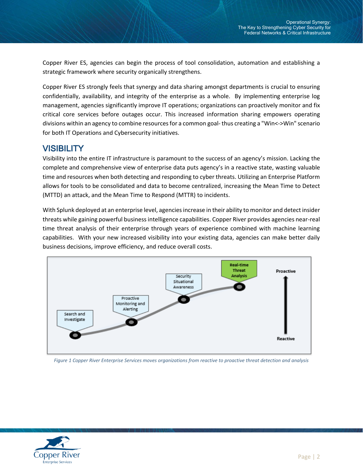Copper River ES, agencies can begin the process of tool consolidation, automation and establishing a strategic framework where security organically strengthens.

Copper River ES strongly feels that synergy and data sharing amongst departments is crucial to ensuring confidentially, availability, and integrity of the enterprise as a whole. By implementing enterprise log management, agencies significantly improve IT operations; organizations can proactively monitor and fix critical core services before outages occur. This increased information sharing empowers operating divisions within an agency to combine resources for a common goal- thus creating a "Win<->Win" scenario for both IT Operations and Cybersecurity initiatives.

#### <span id="page-3-0"></span>**VISIBILITY**

Visibility into the entire IT infrastructure is paramount to the success of an agency's mission. Lacking the complete and comprehensive view of enterprise data puts agency's in a reactive state, wasting valuable time and resources when both detecting and responding to cyber threats. Utilizing an Enterprise Platform allows for tools to be consolidated and data to become centralized, increasing the Mean Time to Detect (MTTD) an attack, and the Mean Time to Respond (MTTR) to incidents.

With Splunk deployed at an enterprise level, agencies increase in their ability to monitor and detect insider threats while gaining powerful business intelligence capabilities. Copper River provides agencies near-real time threat analysis of their enterprise through years of experience combined with machine learning capabilities. With your new increased visibility into your existing data, agencies can make better daily business decisions, improve efficiency, and reduce overall costs.



*Figure 1 Copper River Enterprise Services moves organizations from reactive to proactive threat detection and analysis*

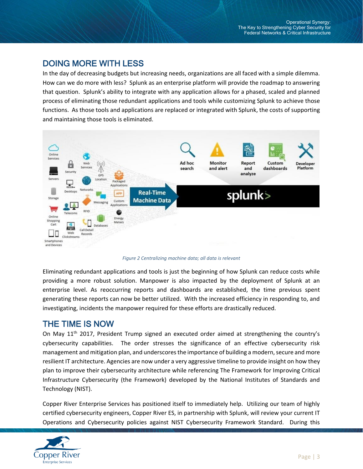### <span id="page-4-0"></span>DOING MORE WITH LESS

In the day of decreasing budgets but increasing needs, organizations are all faced with a simple dilemma. How can we do more with less? Splunk as an enterprise platform will provide the roadmap to answering that question. Splunk's ability to integrate with any application allows for a phased, scaled and planned process of eliminating those redundant applications and tools while customizing Splunk to achieve those functions. As those tools and applications are replaced or integrated with Splunk, the costs of supporting and maintaining those tools is eliminated.



*Figure 2 Centralizing machine data; all data is relevant*

Eliminating redundant applications and tools is just the beginning of how Splunk can reduce costs while providing a more robust solution. Manpower is also impacted by the deployment of Splunk at an enterprise level. As reoccurring reports and dashboards are established, the time previous spent generating these reports can now be better utilized. With the increased efficiency in responding to, and investigating, incidents the manpower required for these efforts are drastically reduced.

#### <span id="page-4-1"></span>THE TIME IS NOW

On May 11<sup>th</sup> 2017, President Trump signed an executed order aimed at strengthening the country's cybersecurity capabilities. The order stresses the significance of an effective cybersecurity risk management and mitigation plan, and underscores the importance of building a modern, secure and more resilient IT architecture. Agencies are now under a very aggressive timeline to provide insight on how they plan to improve their cybersecurity architecture while referencing The Framework for Improving Critical Infrastructure Cybersecurity (the Framework) developed by the National Institutes of Standards and Technology (NIST).

Copper River Enterprise Services has positioned itself to immediately help. Utilizing our team of highly certified cybersecurity engineers, Copper River ES, in partnership with Splunk, will review your current IT Operations and Cybersecurity policies against NIST Cybersecurity Framework Standard. During this

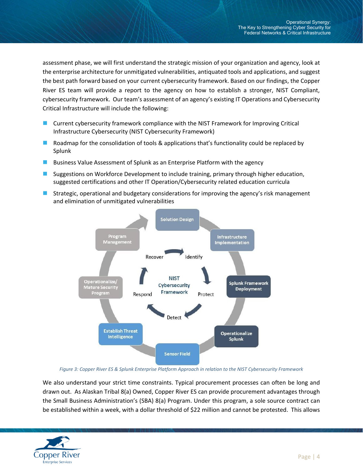assessment phase, we will first understand the strategic mission of your organization and agency, look at the enterprise architecture for unmitigated vulnerabilities, antiquated tools and applications, and suggest the best path forward based on your current cybersecurity framework. Based on our findings, the Copper River ES team will provide a report to the agency on how to establish a stronger, NIST Compliant, cybersecurity framework. Our team's assessment of an agency's existing IT Operations and Cybersecurity Critical Infrastructure will include the following:

- Current cybersecurity framework compliance with the NIST Framework for Improving Critical Infrastructure Cybersecurity (NIST Cybersecurity Framework)
- Roadmap for the consolidation of tools & applications that's functionality could be replaced by Splunk
- Business Value Assessment of Splunk as an Enterprise Platform with the agency
- Suggestions on Workforce Development to include training, primary through higher education, suggested certifications and other IT Operation/Cybersecurity related education curricula
- **Strategic, operational and budgetary considerations for improving the agency's risk management** and elimination of unmitigated vulnerabilities



*Figure 3: Copper River ES & Splunk Enterprise Platform Approach in relation to the NIST Cybersecurity Framework*

We also understand your strict time constraints. Typical procurement processes can often be long and drawn out. As Alaskan Tribal 8(a) Owned, Copper River ES can provide procurement advantages through the Small Business Administration's (SBA) 8(a) Program. Under this program, a sole source contract can be established within a week, with a dollar threshold of \$22 million and cannot be protested. This allows